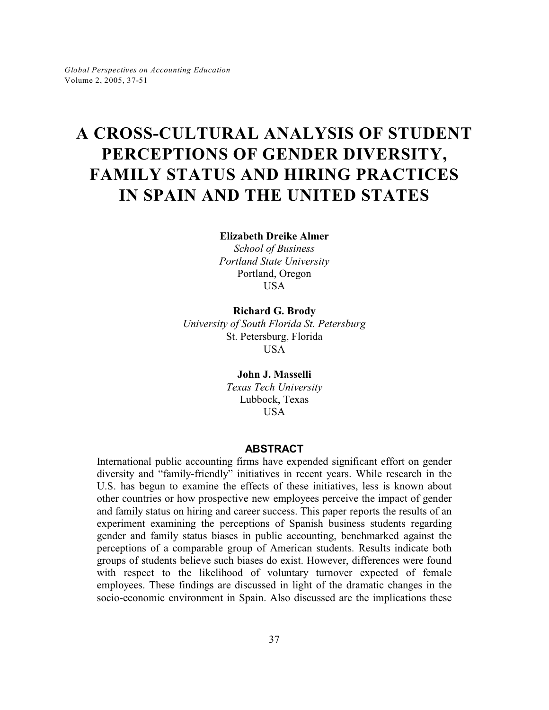# **A CROSS-CULTURAL ANALYSIS OF STUDENT PERCEPTIONS OF GENDER DIVERSITY, FAMILY STATUS AND HIRING PRACTICES IN SPAIN AND THE UNITED STATES**

**Elizabeth Dreike Almer**

*School of Business Portland State University* Portland, Oregon USA

**Richard G. Brody** *University of South Florida St. Petersburg* St. Petersburg, Florida USA

> **John J. Masselli** *Texas Tech University* Lubbock, Texas USA

### **ABSTRACT**

International public accounting firms have expended significant effort on gender diversity and "family-friendly" initiatives in recent years. While research in the U.S. has begun to examine the effects of these initiatives, less is known about other countries or how prospective new employees perceive the impact of gender and family status on hiring and career success. This paper reports the results of an experiment examining the perceptions of Spanish business students regarding gender and family status biases in public accounting, benchmarked against the perceptions of a comparable group of American students. Results indicate both groups of students believe such biases do exist. However, differences were found with respect to the likelihood of voluntary turnover expected of female employees. These findings are discussed in light of the dramatic changes in the socio-economic environment in Spain. Also discussed are the implications these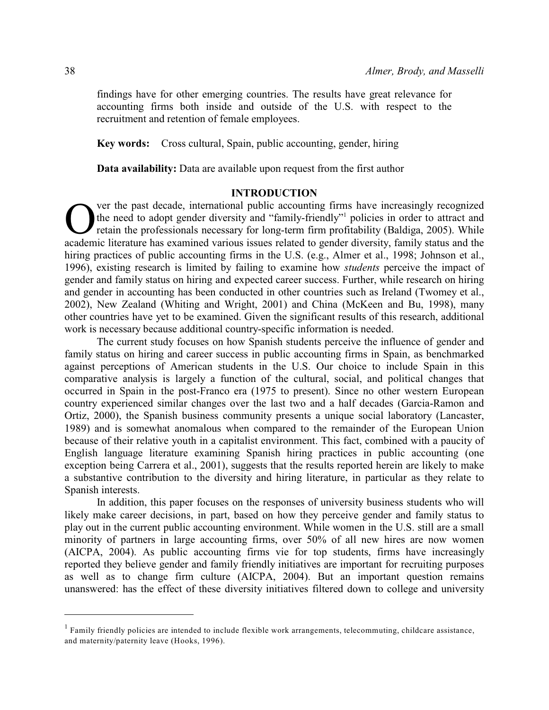findings have for other emerging countries. The results have great relevance for accounting firms both inside and outside of the U.S. with respect to the recruitment and retention of female employees.

**Key words:** Cross cultural, Spain, public accounting, gender, hiring

**Data availability:** Data are available upon request from the first author

## **INTRODUCTION**

O ver the past decade, international public accounting firms have increasingly recognized the need to adopt gender diversity and "family-friendly"<sup>1</sup> policies in order to attract and retain the professionals necessary for ver the past decade, international public accounting firms have increasingly recognized the need to adopt gender diversity and "family-friendly" policies in order to attract and retain the professionals necessary for long-term firm profitability (Baldiga, 2005). While hiring practices of public accounting firms in the U.S. (e.g., Almer et al., 1998; Johnson et al., 1996), existing research is limited by failing to examine how *students* perceive the impact of gender and family status on hiring and expected career success. Further, while research on hiring and gender in accounting has been conducted in other countries such as Ireland (Twomey et al., 2002), New Zealand (Whiting and Wright, 2001) and China (McKeen and Bu, 1998), many other countries have yet to be examined. Given the significant results of this research, additional work is necessary because additional country-specific information is needed.

The current study focuses on how Spanish students perceive the influence of gender and family status on hiring and career success in public accounting firms in Spain, as benchmarked against perceptions of American students in the U.S. Our choice to include Spain in this comparative analysis is largely a function of the cultural, social, and political changes that occurred in Spain in the post-Franco era (1975 to present). Since no other western European country experienced similar changes over the last two and a half decades (Garcia-Ramon and Ortiz, 2000), the Spanish business community presents a unique social laboratory (Lancaster, 1989) and is somewhat anomalous when compared to the remainder of the European Union because of their relative youth in a capitalist environment. This fact, combined with a paucity of English language literature examining Spanish hiring practices in public accounting (one exception being Carrera et al., 2001), suggests that the results reported herein are likely to make a substantive contribution to the diversity and hiring literature, in particular as they relate to Spanish interests.

In addition, this paper focuses on the responses of university business students who will likely make career decisions, in part, based on how they perceive gender and family status to play out in the current public accounting environment. While women in the U.S. still are a small minority of partners in large accounting firms, over 50% of all new hires are now women (AICPA, 2004). As public accounting firms vie for top students, firms have increasingly reported they believe gender and family friendly initiatives are important for recruiting purposes as well as to change firm culture (AICPA, 2004). But an important question remains unanswered: has the effect of these diversity initiatives filtered down to college and university

 $1$  Family friendly policies are intended to include flexible work arrangements, telecommuting, childcare assistance, and maternity/paternity leave (Hooks, 1996).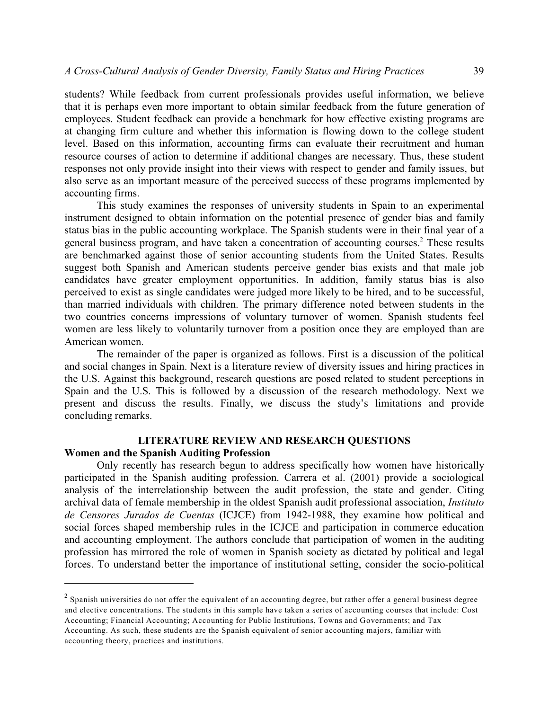students? While feedback from current professionals provides useful information, we believe that it is perhaps even more important to obtain similar feedback from the future generation of employees. Student feedback can provide a benchmark for how effective existing programs are at changing firm culture and whether this information is flowing down to the college student level. Based on this information, accounting firms can evaluate their recruitment and human resource courses of action to determine if additional changes are necessary. Thus, these student responses not only provide insight into their views with respect to gender and family issues, but also serve as an important measure of the perceived success of these programs implemented by accounting firms.

This study examines the responses of university students in Spain to an experimental instrument designed to obtain information on the potential presence of gender bias and family status bias in the public accounting workplace. The Spanish students were in their final year of a general business program, and have taken a concentration of accounting courses.<sup>2</sup> These results are benchmarked against those of senior accounting students from the United States. Results suggest both Spanish and American students perceive gender bias exists and that male job candidates have greater employment opportunities. In addition, family status bias is also perceived to exist as single candidates were judged more likely to be hired, and to be successful, than married individuals with children. The primary difference noted between students in the two countries concerns impressions of voluntary turnover of women. Spanish students feel women are less likely to voluntarily turnover from a position once they are employed than are American women.

The remainder of the paper is organized as follows. First is a discussion of the political and social changes in Spain. Next is a literature review of diversity issues and hiring practices in the U.S. Against this background, research questions are posed related to student perceptions in Spain and the U.S. This is followed by a discussion of the research methodology. Next we present and discuss the results. Finally, we discuss the study's limitations and provide concluding remarks.

## **LITERATURE REVIEW AND RESEARCH QUESTIONS**

## **Women and the Spanish Auditing Profession**

Only recently has research begun to address specifically how women have historically participated in the Spanish auditing profession. Carrera et al. (2001) provide a sociological analysis of the interrelationship between the audit profession, the state and gender. Citing archival data of female membership in the oldest Spanish audit professional association, *Instituto de Censores Jurados de Cuentas* (ICJCE) from 1942-1988, they examine how political and social forces shaped membership rules in the ICJCE and participation in commerce education and accounting employment. The authors conclude that participation of women in the auditing profession has mirrored the role of women in Spanish society as dictated by political and legal forces. To understand better the importance of institutional setting, consider the socio-political

 $^2$  Spanish universities do not offer the equivalent of an accounting degree, but rather offer a general business degree and elective concentrations. The students in this sample have taken a series of accounting courses that include: Cost Accounting; Financial Accounting; Accounting for Public Institutions, Towns and Governments; and Tax Accounting. As such, these students are the Spanish equivalent of senior accounting majors, familiar with accounting theory, practices and institutions.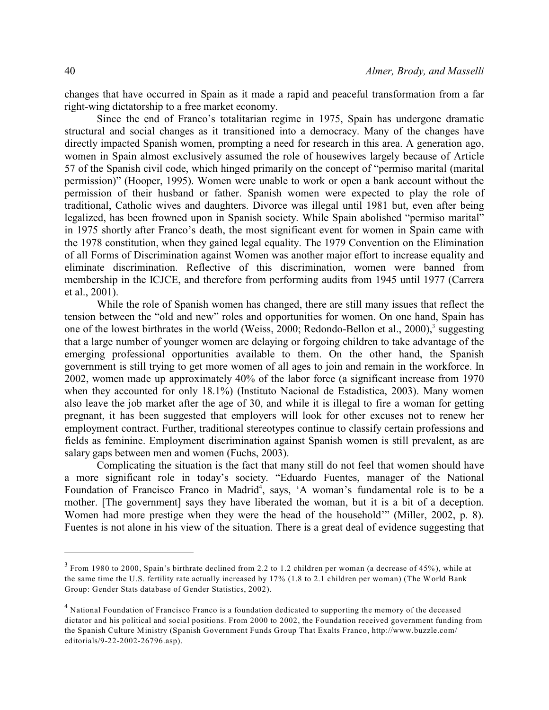changes that have occurred in Spain as it made a rapid and peaceful transformation from a far right-wing dictatorship to a free market economy.

Since the end of Franco's totalitarian regime in 1975, Spain has undergone dramatic structural and social changes as it transitioned into a democracy. Many of the changes have directly impacted Spanish women, prompting a need for research in this area. A generation ago, women in Spain almost exclusively assumed the role of housewives largely because of Article 57 of the Spanish civil code, which hinged primarily on the concept of "permiso marital (marital permission)" (Hooper, 1995). Women were unable to work or open a bank account without the permission of their husband or father. Spanish women were expected to play the role of traditional, Catholic wives and daughters. Divorce was illegal until 1981 but, even after being legalized, has been frowned upon in Spanish society. While Spain abolished "permiso marital" in 1975 shortly after Franco's death, the most significant event for women in Spain came with the 1978 constitution, when they gained legal equality. The 1979 Convention on the Elimination of all Forms of Discrimination against Women was another major effort to increase equality and eliminate discrimination. Reflective of this discrimination, women were banned from membership in the ICJCE, and therefore from performing audits from 1945 until 1977 (Carrera et al., 2001).

While the role of Spanish women has changed, there are still many issues that reflect the tension between the "old and new" roles and opportunities for women. On one hand, Spain has one of the lowest birthrates in the world (Weiss, 2000; Redondo-Bellon et al., 2000),<sup>3</sup> suggesting that a large number of younger women are delaying or forgoing children to take advantage of the emerging professional opportunities available to them. On the other hand, the Spanish government is still trying to get more women of all ages to join and remain in the workforce. In 2002, women made up approximately 40% of the labor force (a significant increase from 1970 when they accounted for only 18.1%) (Instituto Nacional de Estadistica, 2003). Many women also leave the job market after the age of 30, and while it is illegal to fire a woman for getting pregnant, it has been suggested that employers will look for other excuses not to renew her employment contract. Further, traditional stereotypes continue to classify certain professions and fields as feminine. Employment discrimination against Spanish women is still prevalent, as are salary gaps between men and women (Fuchs, 2003).

Complicating the situation is the fact that many still do not feel that women should have a more significant role in today's society. "Eduardo Fuentes, manager of the National Foundation of Francisco Franco in Madrid<sup>4</sup>, says, 'A woman's fundamental role is to be a mother. [The government] says they have liberated the woman, but it is a bit of a deception. Women had more prestige when they were the head of the household'" (Miller, 2002, p. 8). Fuentes is not alone in his view of the situation. There is a great deal of evidence suggesting that

 $3$  From 1980 to 2000, Spain's birthrate declined from 2.2 to 1.2 children per woman (a decrease of 45%), while at the same time the U.S. fertility rate actually increased by 17% (1.8 to 2.1 children per woman) (The World Bank Group: Gender Stats database of Gender Statistics, 2002).

<sup>&</sup>lt;sup>4</sup> National Foundation of Francisco Franco is a foundation dedicated to supporting the memory of the deceased dictator and his political and social positions. From 2000 to 2002, the Foundation received government funding from the Spanish Culture Ministry (Spanish Government Funds Group That Exalts Franco, http://www.buzzle.com/ editorials/9-22-2002-26796.asp).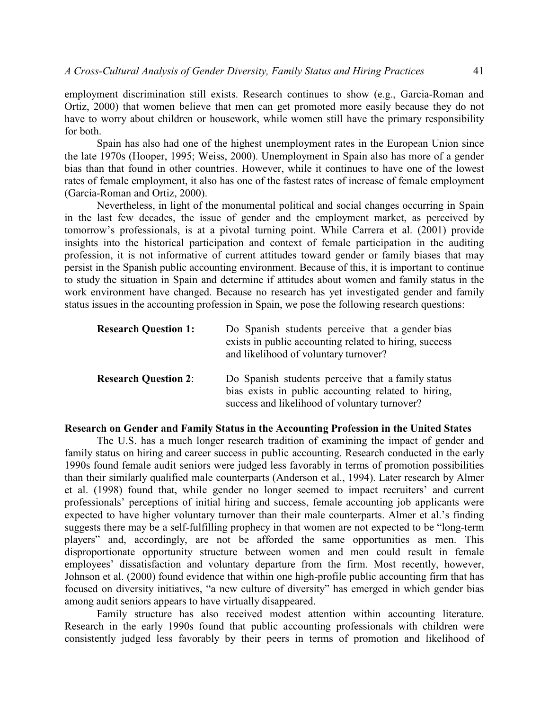employment discrimination still exists. Research continues to show (e.g., Garcia-Roman and Ortiz, 2000) that women believe that men can get promoted more easily because they do not have to worry about children or housework, while women still have the primary responsibility for both.

Spain has also had one of the highest unemployment rates in the European Union since the late 1970s (Hooper, 1995; Weiss, 2000). Unemployment in Spain also has more of a gender bias than that found in other countries. However, while it continues to have one of the lowest rates of female employment, it also has one of the fastest rates of increase of female employment (Garcia-Roman and Ortiz, 2000).

Nevertheless, in light of the monumental political and social changes occurring in Spain in the last few decades, the issue of gender and the employment market, as perceived by tomorrow's professionals, is at a pivotal turning point. While Carrera et al. (2001) provide insights into the historical participation and context of female participation in the auditing profession, it is not informative of current attitudes toward gender or family biases that may persist in the Spanish public accounting environment. Because of this, it is important to continue to study the situation in Spain and determine if attitudes about women and family status in the work environment have changed. Because no research has yet investigated gender and family status issues in the accounting profession in Spain, we pose the following research questions:

| <b>Research Question 1:</b> | Do Spanish students perceive that a gender bias<br>exists in public accounting related to hiring, success<br>and likelihood of voluntary turnover?        |
|-----------------------------|-----------------------------------------------------------------------------------------------------------------------------------------------------------|
| <b>Research Question 2:</b> | Do Spanish students perceive that a family status<br>bias exists in public accounting related to hiring,<br>success and likelihood of voluntary turnover? |

## **Research on Gender and Family Status in the Accounting Profession in the United States**

The U.S. has a much longer research tradition of examining the impact of gender and family status on hiring and career success in public accounting. Research conducted in the early 1990s found female audit seniors were judged less favorably in terms of promotion possibilities than their similarly qualified male counterparts (Anderson et al., 1994). Later research by Almer et al. (1998) found that, while gender no longer seemed to impact recruiters' and current professionals' perceptions of initial hiring and success, female accounting job applicants were expected to have higher voluntary turnover than their male counterparts. Almer et al.'s finding suggests there may be a self-fulfilling prophecy in that women are not expected to be "long-term players" and, accordingly, are not be afforded the same opportunities as men. This disproportionate opportunity structure between women and men could result in female employees' dissatisfaction and voluntary departure from the firm. Most recently, however, Johnson et al. (2000) found evidence that within one high-profile public accounting firm that has focused on diversity initiatives, "a new culture of diversity" has emerged in which gender bias among audit seniors appears to have virtually disappeared.

Family structure has also received modest attention within accounting literature. Research in the early 1990s found that public accounting professionals with children were consistently judged less favorably by their peers in terms of promotion and likelihood of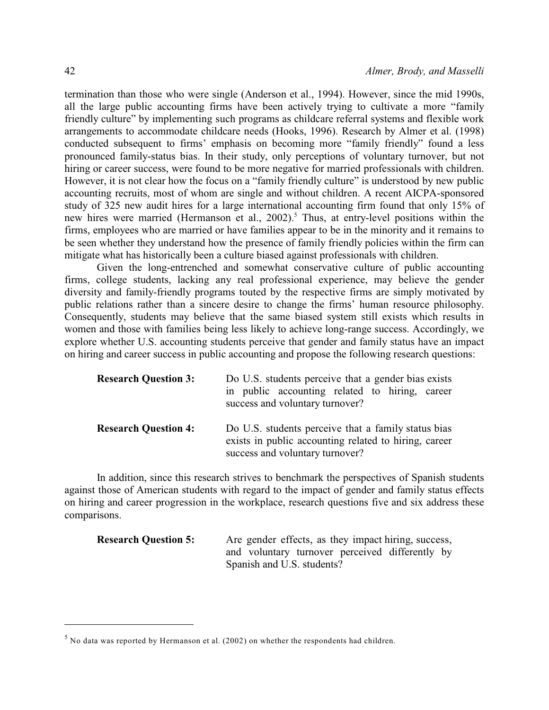termination than those who were single (Anderson et al., 1994). However, since the mid 1990s, all the large public accounting firms have been actively trying to cultivate a more "family friendly culture" by implementing such programs as childcare referral systems and flexible work arrangements to accommodate childcare needs (Hooks, 1996). Research by Almer et al. (1998) conducted subsequent to firms' emphasis on becoming more "family friendly" found a less pronounced family-status bias. In their study, only perceptions of voluntary turnover, but not hiring or career success, were found to be more negative for married professionals with children. However, it is not clear how the focus on a "family friendly culture" is understood by new public accounting recruits, most of whom are single and without children. A recent AICPA-sponsored study of 325 new audit hires for a large international accounting firm found that only 15% of new hires were married (Hermanson et al.,  $2002$ ).<sup>5</sup> Thus, at entry-level positions within the firms, employees who are married or have families appear to be in the minority and it remains to be seen whether they understand how the presence of family friendly policies within the firm can mitigate what has historically been a culture biased against professionals with children.

Given the long-entrenched and somewhat conservative culture of public accounting firms, college students, lacking any real professional experience, may believe the gender diversity and family-friendly programs touted by the respective firms are simply motivated by public relations rather than a sincere desire to change the firms' human resource philosophy. Consequently, students may believe that the same biased system still exists which results in women and those with families being less likely to achieve long-range success. Accordingly, we explore whether U.S. accounting students perceive that gender and family status have an impact on hiring and career success in public accounting and propose the following research questions:

| <b>Research Question 3:</b> | Do U.S. students perceive that a gender bias exists<br>in public accounting related to hiring, career<br>success and voluntary turnover?        |  |  |  |
|-----------------------------|-------------------------------------------------------------------------------------------------------------------------------------------------|--|--|--|
| <b>Research Question 4:</b> | Do U.S. students perceive that a family status bias<br>exists in public accounting related to hiring, career<br>success and voluntary turnover? |  |  |  |

In addition, since this research strives to benchmark the perspectives of Spanish students against those of American students with regard to the impact of gender and family status effects on hiring and career progression in the workplace, research questions five and six address these comparisons.

**Research Question 5:** Are gender effects, as they impact hiring, success, and voluntary turnover perceived differently by Spanish and U.S. students?

 $<sup>5</sup>$  No data was reported by Hermanson et al. (2002) on whether the respondents had children.</sup>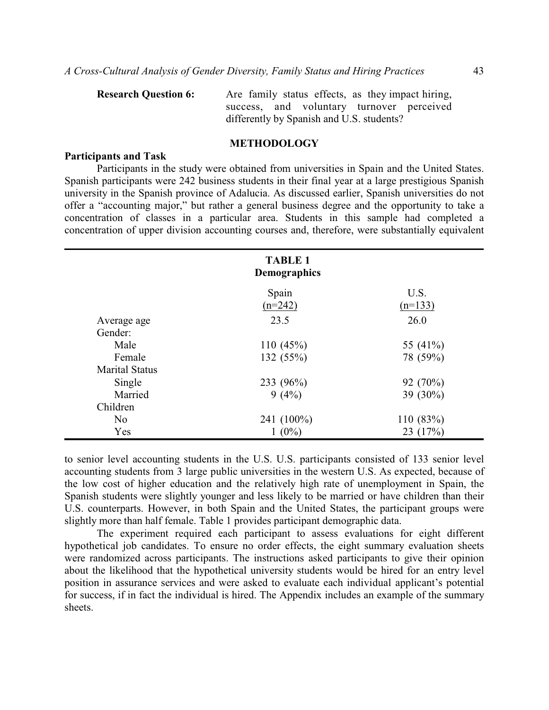| <b>Research Question 6:</b> | Are family status effects, as they impact hiring, |
|-----------------------------|---------------------------------------------------|
|                             | success, and voluntary turnover perceived         |
|                             | differently by Spanish and U.S. students?         |
|                             |                                                   |

## **METHODOLOGY**

#### **Participants and Task**

Participants in the study were obtained from universities in Spain and the United States. Spanish participants were 242 business students in their final year at a large prestigious Spanish university in the Spanish province of Adalucia. As discussed earlier, Spanish universities do not offer a "accounting major," but rather a general business degree and the opportunity to take a concentration of classes in a particular area. Students in this sample had completed a concentration of upper division accounting courses and, therefore, were substantially equivalent

|                       | <b>TABLE 1</b><br><b>Demographics</b> |                   |
|-----------------------|---------------------------------------|-------------------|
|                       | Spain<br>$(n=242)$                    | U.S.<br>$(n=133)$ |
| Average age           | 23.5                                  | 26.0              |
| Gender:               |                                       |                   |
| Male                  | 110 $(45%)$                           | 55 (41%)          |
| Female                | 132 (55%)                             | 78 (59%)          |
| <b>Marital Status</b> |                                       |                   |
| Single                | 233 (96%)                             | 92(70%)           |
| Married               | 9(4%)                                 | 39 (30%)          |
| Children              |                                       |                   |
| N <sub>0</sub>        | 241 (100%)                            | 110(83%)          |
| Yes                   | $1(0\%)$                              | 23 $(17%)$        |

to senior level accounting students in the U.S. U.S. participants consisted of 133 senior level accounting students from 3 large public universities in the western U.S. As expected, because of the low cost of higher education and the relatively high rate of unemployment in Spain, the Spanish students were slightly younger and less likely to be married or have children than their U.S. counterparts. However, in both Spain and the United States, the participant groups were slightly more than half female. Table 1 provides participant demographic data.

The experiment required each participant to assess evaluations for eight different hypothetical job candidates. To ensure no order effects, the eight summary evaluation sheets were randomized across participants. The instructions asked participants to give their opinion about the likelihood that the hypothetical university students would be hired for an entry level position in assurance services and were asked to evaluate each individual applicant's potential for success, if in fact the individual is hired. The Appendix includes an example of the summary sheets.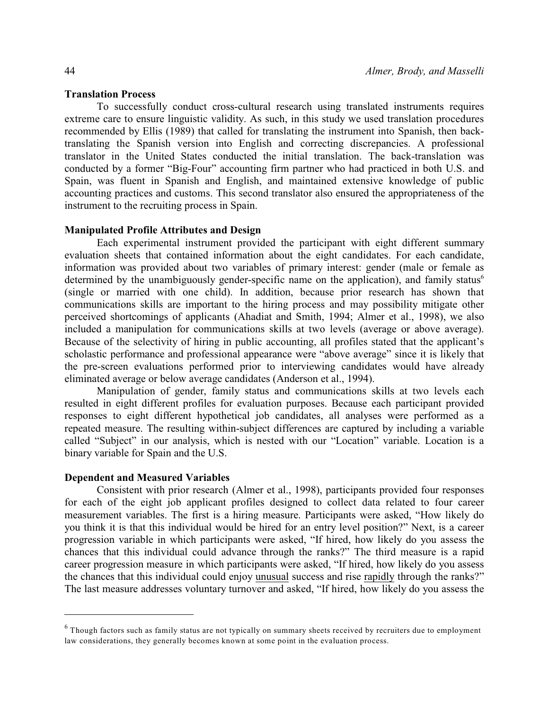#### **Translation Process**

To successfully conduct cross-cultural research using translated instruments requires extreme care to ensure linguistic validity. As such, in this study we used translation procedures recommended by Ellis (1989) that called for translating the instrument into Spanish, then backtranslating the Spanish version into English and correcting discrepancies. A professional translator in the United States conducted the initial translation. The back-translation was conducted by a former "Big-Four" accounting firm partner who had practiced in both U.S. and Spain, was fluent in Spanish and English, and maintained extensive knowledge of public accounting practices and customs. This second translator also ensured the appropriateness of the instrument to the recruiting process in Spain.

#### **Manipulated Profile Attributes and Design**

Each experimental instrument provided the participant with eight different summary evaluation sheets that contained information about the eight candidates. For each candidate, information was provided about two variables of primary interest: gender (male or female as determined by the unambiguously gender-specific name on the application), and family status<sup>6</sup> (single or married with one child). In addition, because prior research has shown that communications skills are important to the hiring process and may possibility mitigate other perceived shortcomings of applicants (Ahadiat and Smith, 1994; Almer et al., 1998), we also included a manipulation for communications skills at two levels (average or above average). Because of the selectivity of hiring in public accounting, all profiles stated that the applicant's scholastic performance and professional appearance were "above average" since it is likely that the pre-screen evaluations performed prior to interviewing candidates would have already eliminated average or below average candidates (Anderson et al., 1994).

Manipulation of gender, family status and communications skills at two levels each resulted in eight different profiles for evaluation purposes. Because each participant provided responses to eight different hypothetical job candidates, all analyses were performed as a repeated measure. The resulting within-subject differences are captured by including a variable called "Subject" in our analysis, which is nested with our "Location" variable. Location is a binary variable for Spain and the U.S.

#### **Dependent and Measured Variables**

Consistent with prior research (Almer et al., 1998), participants provided four responses for each of the eight job applicant profiles designed to collect data related to four career measurement variables. The first is a hiring measure. Participants were asked, "How likely do you think it is that this individual would be hired for an entry level position?" Next, is a career progression variable in which participants were asked, "If hired, how likely do you assess the chances that this individual could advance through the ranks?" The third measure is a rapid career progression measure in which participants were asked, "If hired, how likely do you assess the chances that this individual could enjoy unusual success and rise rapidly through the ranks?" The last measure addresses voluntary turnover and asked, "If hired, how likely do you assess the

 $6$  Though factors such as family status are not typically on summary sheets received by recruiters due to employment law considerations, they generally becomes known at some point in the evaluation process.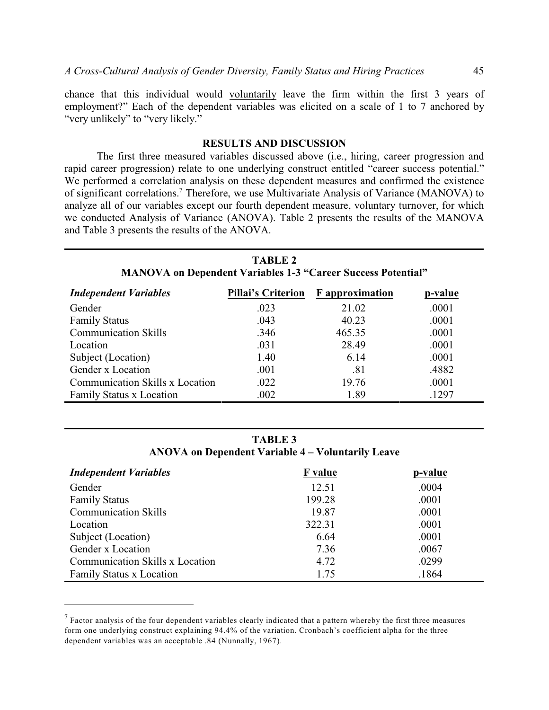chance that this individual would voluntarily leave the firm within the first 3 years of employment?" Each of the dependent variables was elicited on a scale of 1 to 7 anchored by "very unlikely" to "very likely."

## **RESULTS AND DISCUSSION**

The first three measured variables discussed above (i.e., hiring, career progression and rapid career progression) relate to one underlying construct entitled "career success potential." We performed a correlation analysis on these dependent measures and confirmed the existence of significant correlations.<sup>7</sup> Therefore, we use Multivariate Analysis of Variance (MANOVA) to analyze all of our variables except our fourth dependent measure, voluntary turnover, for which we conducted Analysis of Variance (ANOVA). Table 2 presents the results of the MANOVA and Table 3 presents the results of the ANOVA.

| <b>TABLE 2</b><br><b>MANOVA on Dependent Variables 1-3 "Career Success Potential"</b> |      |                                    |         |  |  |
|---------------------------------------------------------------------------------------|------|------------------------------------|---------|--|--|
| <b>Independent Variables</b>                                                          |      | Pillai's Criterion F approximation | p-value |  |  |
| Gender                                                                                | .023 | 21.02                              | .0001   |  |  |
| <b>Family Status</b>                                                                  | .043 | 40.23                              | .0001   |  |  |
| <b>Communication Skills</b>                                                           | .346 | 465.35                             | .0001   |  |  |

Location .031 28.49 .0001 Subject (Location) 1.40 6.14 .0001 Gender x Location .001 .81 .4882 Communication Skills x Location .022 19.76 .0001 Family Status x Location .002 .002 .1297

**TABLE 3**

| ANOVA on Dependent Variable 4 – Voluntarily Leave |  |  |  |
|---------------------------------------------------|--|--|--|
|---------------------------------------------------|--|--|--|

| <b>Independent Variables</b>           | <b>F</b> value | p-value |
|----------------------------------------|----------------|---------|
| Gender                                 | 12.51          | .0004   |
| <b>Family Status</b>                   | 199.28         | .0001   |
| <b>Communication Skills</b>            | 19.87          | .0001   |
| Location                               | 322.31         | .0001   |
| Subject (Location)                     | 6.64           | .0001   |
| Gender x Location                      | 7.36           | .0067   |
| <b>Communication Skills x Location</b> | 4.72           | .0299   |
| Family Status x Location               | 1.75           | .1864   |

 $^7$  Factor analysis of the four dependent variables clearly indicated that a pattern whereby the first three measures form one underlying construct explaining 94.4% of the variation. Cronbach's coefficient alpha for the three dependent variables was an acceptable .84 (Nunnally, 1967).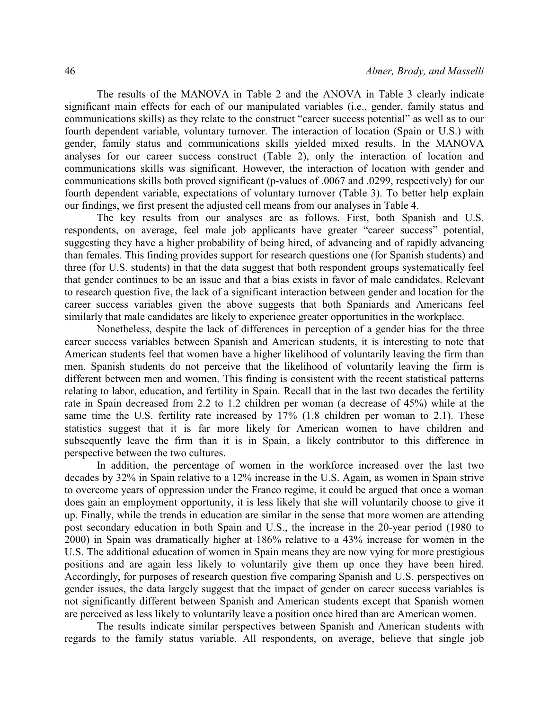The results of the MANOVA in Table 2 and the ANOVA in Table 3 clearly indicate significant main effects for each of our manipulated variables (i.e., gender, family status and communications skills) as they relate to the construct "career success potential" as well as to our fourth dependent variable, voluntary turnover. The interaction of location (Spain or U.S.) with gender, family status and communications skills yielded mixed results. In the MANOVA analyses for our career success construct (Table 2), only the interaction of location and communications skills was significant. However, the interaction of location with gender and communications skills both proved significant (p-values of .0067 and .0299, respectively) for our fourth dependent variable, expectations of voluntary turnover (Table 3). To better help explain our findings, we first present the adjusted cell means from our analyses in Table 4.

The key results from our analyses are as follows. First, both Spanish and U.S. respondents, on average, feel male job applicants have greater "career success" potential, suggesting they have a higher probability of being hired, of advancing and of rapidly advancing than females. This finding provides support for research questions one (for Spanish students) and three (for U.S. students) in that the data suggest that both respondent groups systematically feel that gender continues to be an issue and that a bias exists in favor of male candidates. Relevant to research question five, the lack of a significant interaction between gender and location for the career success variables given the above suggests that both Spaniards and Americans feel similarly that male candidates are likely to experience greater opportunities in the workplace.

Nonetheless, despite the lack of differences in perception of a gender bias for the three career success variables between Spanish and American students, it is interesting to note that American students feel that women have a higher likelihood of voluntarily leaving the firm than men. Spanish students do not perceive that the likelihood of voluntarily leaving the firm is different between men and women. This finding is consistent with the recent statistical patterns relating to labor, education, and fertility in Spain. Recall that in the last two decades the fertility rate in Spain decreased from 2.2 to 1.2 children per woman (a decrease of 45%) while at the same time the U.S. fertility rate increased by 17% (1.8 children per woman to 2.1). These statistics suggest that it is far more likely for American women to have children and subsequently leave the firm than it is in Spain, a likely contributor to this difference in perspective between the two cultures.

In addition, the percentage of women in the workforce increased over the last two decades by 32% in Spain relative to a 12% increase in the U.S. Again, as women in Spain strive to overcome years of oppression under the Franco regime, it could be argued that once a woman does gain an employment opportunity, it is less likely that she will voluntarily choose to give it up. Finally, while the trends in education are similar in the sense that more women are attending post secondary education in both Spain and U.S., the increase in the 20-year period (1980 to 2000) in Spain was dramatically higher at 186% relative to a 43% increase for women in the U.S. The additional education of women in Spain means they are now vying for more prestigious positions and are again less likely to voluntarily give them up once they have been hired. Accordingly, for purposes of research question five comparing Spanish and U.S. perspectives on gender issues, the data largely suggest that the impact of gender on career success variables is not significantly different between Spanish and American students except that Spanish women are perceived as less likely to voluntarily leave a position once hired than are American women.

The results indicate similar perspectives between Spanish and American students with regards to the family status variable. All respondents, on average, believe that single job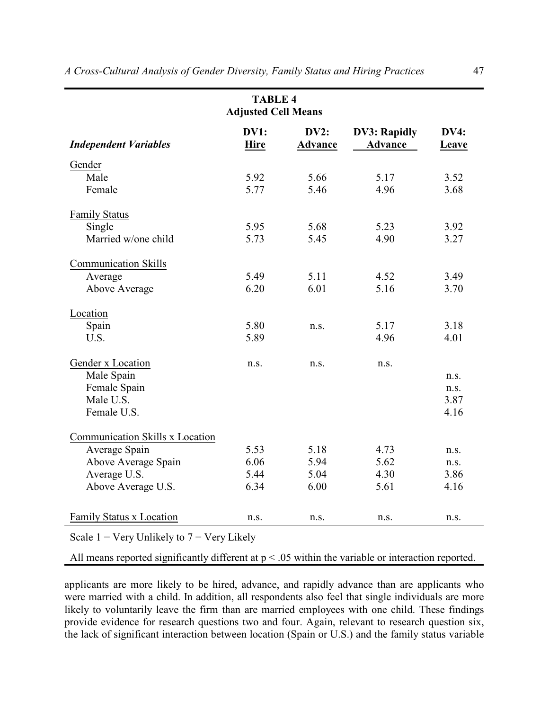| <b>TABLE 4</b><br><b>Adjusted Cell Means</b>                                                                                                   |      |      |      |      |  |  |  |  |
|------------------------------------------------------------------------------------------------------------------------------------------------|------|------|------|------|--|--|--|--|
| DV1:<br>DV2:<br><b>DV3: Rapidly</b><br><b>DV4:</b><br><b>Advance</b><br><b>Independent Variables</b><br><b>Hire</b><br><b>Advance</b><br>Leave |      |      |      |      |  |  |  |  |
| Gender                                                                                                                                         |      |      |      |      |  |  |  |  |
| Male                                                                                                                                           | 5.92 | 5.66 | 5.17 | 3.52 |  |  |  |  |
| Female                                                                                                                                         | 5.77 | 5.46 | 4.96 | 3.68 |  |  |  |  |
| <b>Family Status</b>                                                                                                                           |      |      |      |      |  |  |  |  |
| Single                                                                                                                                         | 5.95 | 5.68 | 5.23 | 3.92 |  |  |  |  |
| Married w/one child                                                                                                                            | 5.73 | 5.45 | 4.90 | 3.27 |  |  |  |  |
| <b>Communication Skills</b>                                                                                                                    |      |      |      |      |  |  |  |  |
| Average                                                                                                                                        | 5.49 | 5.11 | 4.52 | 3.49 |  |  |  |  |
| Above Average                                                                                                                                  | 6.20 | 6.01 | 5.16 | 3.70 |  |  |  |  |
| Location                                                                                                                                       |      |      |      |      |  |  |  |  |
| Spain                                                                                                                                          | 5.80 | n.s. | 5.17 | 3.18 |  |  |  |  |
| U.S.                                                                                                                                           | 5.89 |      | 4.96 | 4.01 |  |  |  |  |
| Gender x Location                                                                                                                              | n.s. | n.s. | n.s. |      |  |  |  |  |
| Male Spain                                                                                                                                     |      |      |      | n.s. |  |  |  |  |
| Female Spain                                                                                                                                   |      |      |      | n.s. |  |  |  |  |
| Male U.S.                                                                                                                                      |      |      |      | 3.87 |  |  |  |  |
| Female U.S.                                                                                                                                    |      |      |      | 4.16 |  |  |  |  |
| Communication Skills x Location                                                                                                                |      |      |      |      |  |  |  |  |
| Average Spain                                                                                                                                  | 5.53 | 5.18 | 4.73 | n.S. |  |  |  |  |
| Above Average Spain                                                                                                                            | 6.06 | 5.94 | 5.62 | n.s. |  |  |  |  |
| Average U.S.                                                                                                                                   | 5.44 | 5.04 | 4.30 | 3.86 |  |  |  |  |
| Above Average U.S.                                                                                                                             | 6.34 | 6.00 | 5.61 | 4.16 |  |  |  |  |

Scale  $1 = \text{Very Unlikely to } 7 = \text{Very Likely}$ 

All means reported significantly different at p < .05 within the variable or interaction reported.

Family Status x Location n.s. n.s. n.s. n.s. n.s. n.s. n.s.

applicants are more likely to be hired, advance, and rapidly advance than are applicants who were married with a child. In addition, all respondents also feel that single individuals are more likely to voluntarily leave the firm than are married employees with one child. These findings provide evidence for research questions two and four. Again, relevant to research question six, the lack of significant interaction between location (Spain or U.S.) and the family status variable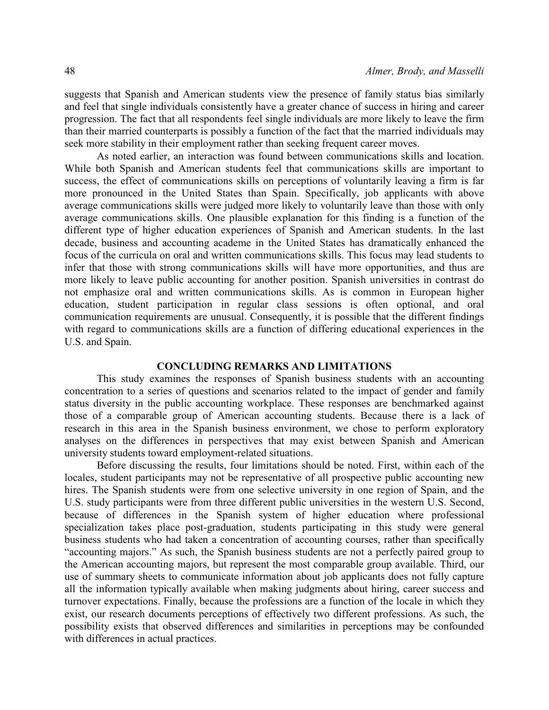suggests that Spanish and American students view the presence of family status bias similarly and feel that single individuals consistently have a greater chance of success in hiring and career progression. The fact that all respondents feel single individuals are more likely to leave the firm than their married counterparts is possibly a function of the fact that the married individuals may seek more stability in their employment rather than seeking frequent career moves.

As noted earlier, an interaction was found between communications skills and location. While both Spanish and American students feel that communications skills are important to success, the effect of communications skills on perceptions of voluntarily leaving a firm is far more pronounced in the United States than Spain. Specifically, job applicants with above average communications skills were judged more likely to voluntarily leave than those with only average communications skills. One plausible explanation for this finding is a function of the different type of higher education experiences of Spanish and American students. In the last decade, business and accounting academe in the United States has dramatically enhanced the focus of the curricula on oral and written communications skills. This focus may lead students to infer that those with strong communications skills will have more opportunities, and thus are more likely to leave public accounting for another position. Spanish universities in contrast do not emphasize oral and written communications skills. As is common in European higher education, student participation in regular class sessions is often optional, and oral communication requirements are unusual. Consequently, it is possible that the different findings with regard to communications skills are a function of differing educational experiences in the U.S. and Spain.

## **CONCLUDING REMARKS AND LIMITATIONS**

This study examines the responses of Spanish business students with an accounting concentration to a series of questions and scenarios related to the impact of gender and family status diversity in the public accounting workplace. These responses are benchmarked against those of a comparable group of American accounting students. Because there is a lack of research in this area in the Spanish business environment, we chose to perform exploratory analyses on the differences in perspectives that may exist between Spanish and American university students toward employment-related situations.

Before discussing the results, four limitations should be noted. First, within each of the locales, student participants may not be representative of all prospective public accounting new hires. The Spanish students were from one selective university in one region of Spain, and the U.S. study participants were from three different public universities in the western U.S. Second, because of differences in the Spanish system of higher education where professional specialization takes place post-graduation, students participating in this study were general business students who had taken a concentration of accounting courses, rather than specifically "accounting majors." As such, the Spanish business students are not a perfectly paired group to the American accounting majors, but represent the most comparable group available. Third, our use of summary sheets to communicate information about job applicants does not fully capture all the information typically available when making judgments about hiring, career success and turnover expectations. Finally, because the professions are a function of the locale in which they exist, our research documents perceptions of effectively two different professions. As such, the possibility exists that observed differences and similarities in perceptions may be confounded with differences in actual practices.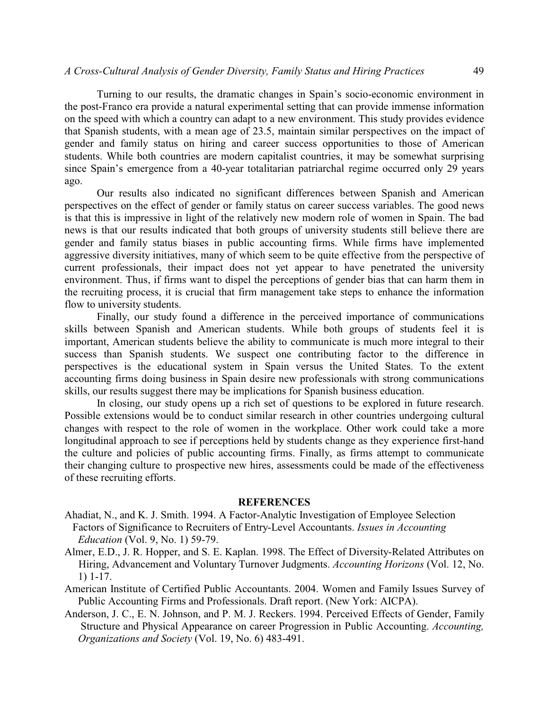Turning to our results, the dramatic changes in Spain's socio-economic environment in the post-Franco era provide a natural experimental setting that can provide immense information on the speed with which a country can adapt to a new environment. This study provides evidence that Spanish students, with a mean age of 23.5, maintain similar perspectives on the impact of gender and family status on hiring and career success opportunities to those of American students. While both countries are modern capitalist countries, it may be somewhat surprising since Spain's emergence from a 40-year totalitarian patriarchal regime occurred only 29 years ago.

Our results also indicated no significant differences between Spanish and American perspectives on the effect of gender or family status on career success variables. The good news is that this is impressive in light of the relatively new modern role of women in Spain. The bad news is that our results indicated that both groups of university students still believe there are gender and family status biases in public accounting firms. While firms have implemented aggressive diversity initiatives, many of which seem to be quite effective from the perspective of current professionals, their impact does not yet appear to have penetrated the university environment. Thus, if firms want to dispel the perceptions of gender bias that can harm them in the recruiting process, it is crucial that firm management take steps to enhance the information flow to university students.

Finally, our study found a difference in the perceived importance of communications skills between Spanish and American students. While both groups of students feel it is important, American students believe the ability to communicate is much more integral to their success than Spanish students. We suspect one contributing factor to the difference in perspectives is the educational system in Spain versus the United States. To the extent accounting firms doing business in Spain desire new professionals with strong communications skills, our results suggest there may be implications for Spanish business education.

In closing, our study opens up a rich set of questions to be explored in future research. Possible extensions would be to conduct similar research in other countries undergoing cultural changes with respect to the role of women in the workplace. Other work could take a more longitudinal approach to see if perceptions held by students change as they experience first-hand the culture and policies of public accounting firms. Finally, as firms attempt to communicate their changing culture to prospective new hires, assessments could be made of the effectiveness of these recruiting efforts.

#### **REFERENCES**

- Ahadiat, N., and K. J. Smith. 1994. A Factor-Analytic Investigation of Employee Selection Factors of Significance to Recruiters of Entry-Level Accountants. *Issues in Accounting Education* (Vol. 9, No. 1) 59-79.
- Almer, E.D., J. R. Hopper, and S. E. Kaplan. 1998. The Effect of Diversity-Related Attributes on Hiring, Advancement and Voluntary Turnover Judgments. *Accounting Horizons* (Vol. 12, No. 1) 1-17.
- American Institute of Certified Public Accountants. 2004. Women and Family Issues Survey of Public Accounting Firms and Professionals. Draft report. (New York: AICPA).
- Anderson, J. C., E. N. Johnson, and P. M. J. Reckers. 1994. Perceived Effects of Gender, Family Structure and Physical Appearance on career Progression in Public Accounting. *Accounting, Organizations and Society* (Vol. 19, No. 6) 483-491.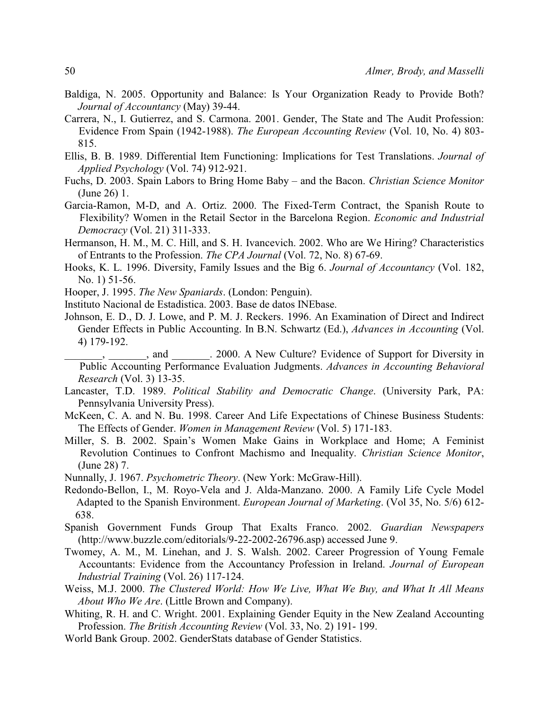- Baldiga, N. 2005. Opportunity and Balance: Is Your Organization Ready to Provide Both? *Journal of Accountancy* (May) 39-44.
- Carrera, N., I. Gutierrez, and S. Carmona. 2001. Gender, The State and The Audit Profession: Evidence From Spain (1942-1988). *The European Accounting Review* (Vol. 10, No. 4) 803- 815.
- Ellis, B. B. 1989. Differential Item Functioning: Implications for Test Translations. *Journal of Applied Psychology* (Vol. 74) 912-921.
- Fuchs, D. 2003. Spain Labors to Bring Home Baby and the Bacon. *Christian Science Monitor* (June 26) 1.
- Garcia-Ramon, M-D, and A. Ortiz. 2000. The Fixed-Term Contract, the Spanish Route to Flexibility? Women in the Retail Sector in the Barcelona Region. *Economic and Industrial Democracy* (Vol. 21) 311-333.
- Hermanson, H. M., M. C. Hill, and S. H. Ivancevich. 2002. Who are We Hiring? Characteristics of Entrants to the Profession. *The CPA Journal* (Vol. 72, No. 8) 67-69.
- Hooks, K. L. 1996. Diversity, Family Issues and the Big 6. *Journal of Accountancy* (Vol. 182, No. 1) 51-56.
- Hooper, J. 1995. *The New Spaniards*. (London: Penguin).
- Instituto Nacional de Estadistica. 2003. Base de datos INEbase.
- Johnson, E. D., D. J. Lowe, and P. M. J. Reckers. 1996. An Examination of Direct and Indirect Gender Effects in Public Accounting. In B.N. Schwartz (Ed.), *Advances in Accounting* (Vol. 4) 179-192.
	- \_\_, and \_\_\_\_\_\_\_. 2000. A New Culture? Evidence of Support for Diversity in Public Accounting Performance Evaluation Judgments. *Advances in Accounting Behavioral Research* (Vol. 3) 13-35.
- Lancaster, T.D. 1989. *Political Stability and Democratic Change*. (University Park, PA: Pennsylvania University Press).
- McKeen, C. A. and N. Bu. 1998. Career And Life Expectations of Chinese Business Students: The Effects of Gender. *Women in Management Review* (Vol. 5) 171-183.
- Miller, S. B. 2002. Spain's Women Make Gains in Workplace and Home; A Feminist Revolution Continues to Confront Machismo and Inequality. *Christian Science Monitor*, (June 28) 7.
- Nunnally, J. 1967. *Psychometric Theory*. (New York: McGraw-Hill).
- Redondo-Bellon, I., M. Royo-Vela and J. Alda-Manzano. 2000. A Family Life Cycle Model Adapted to the Spanish Environment. *European Journal of Marketing*. (Vol 35, No. 5/6) 612- 638.
- Spanish Government Funds Group That Exalts Franco. 2002. *Guardian Newspapers* (http://www.buzzle.com/editorials/9-22-2002-26796.asp) accessed June 9.
- Twomey, A. M., M. Linehan, and J. S. Walsh. 2002. Career Progression of Young Female Accountants: Evidence from the Accountancy Profession in Ireland. *Journal of European Industrial Training* (Vol. 26) 117-124.
- Weiss, M.J. 2000. *The Clustered World: How We Live, What We Buy, and What It All Means About Who We Are*. (Little Brown and Company).
- Whiting, R. H. and C. Wright. 2001. Explaining Gender Equity in the New Zealand Accounting Profession. *The British Accounting Review* (Vol. 33, No. 2) 191- 199.
- World Bank Group. 2002. GenderStats database of Gender Statistics.